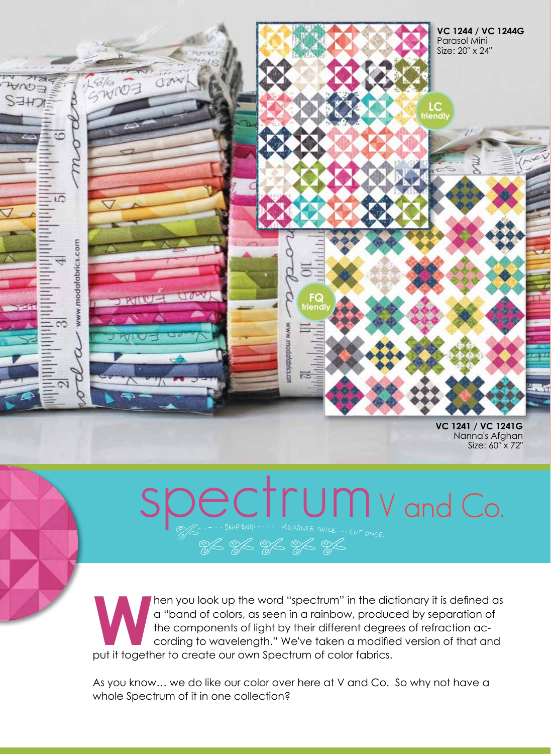

**VC 1241 / VC 1241G**  Nanna's Afghan Size: 60″ x 72″

## **P.C.T.LUMV and Co.**<br>--SNIP SNIP---- MEASURE TWICE ... CUT ONCE

hen you look up the word "spectrum" in the dictionary it is defined as a "band of colors, as seen in a rainbow, produced by separation of the components of light by their different degrees of refraction according to wavelength." We've taken a modified version of that and put it together to create our own Spectrum of color fabrics.

As you know… we do like our color over here at V and Co. So why not have a whole Spectrum of it in one collection?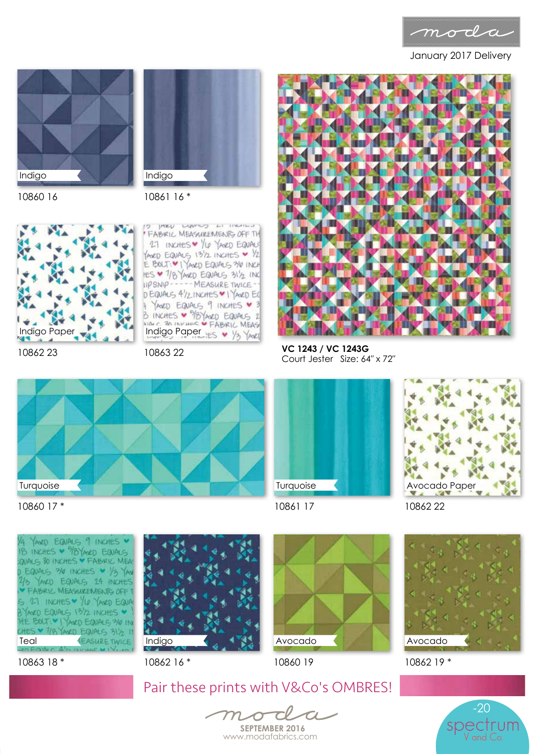

January 2017 Delivery





10860 16

10861 16 \*



10862 23

INKY LUVING AT HANGE FABRIC MEASUREMENTS OFF TH 27 INCHES V /4 YANZO EQUALS ANED EQUALS 13/2 INCHES V 1/2 E BOLT: V I YANED EQUALS 310 INCH IIPSNIP ----- MEASURE TWICE-DEQUALS 41/2 INCHES VI YANED EQ YANED EQUALS 9 INCHES V 3 B INCHES • 9/8 YANRD EQUALS 2 Indigo Paper LES V 1/3 YAVE

10863 22



**VC 1243 / VC 1243G**  Court Jester Size: 64″ x 72″







10861 17

10862 22



10863 18 \*

10860 17 \*



10862 16 \*

Avocado





10862 19 \*



Pair these prints with V&Co's OMBRES!

od  $\overline{C}$  $m_{-}$ 

**SEPTEMBER 2016** www.modafabrics.com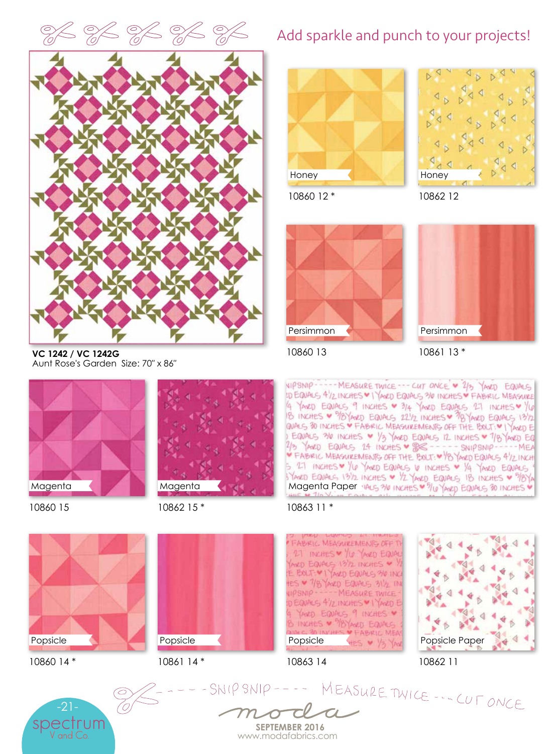



**VC 1242 / VC 1242G**  Aunt Rose's Garden Size: 70″ x 86″



10860 15



10862 15 \*



10860 14 \*



10861 14 \*







10860 12 \*

10862 12



10860 13



10861 13 \*

NIPSNIP ----- MEASURE TWICE --- CUT ONCE - 2/3 YANED EQUALS UD EQUALS 4/2 INCHES VI YAND EQUALS 310 INCHES V FABIRIC MEASURE 4 YAVED EQUALS 9 INCHES V 3/4 YAVED EQUALS 27 INCHES V YOU<br>18 INCHES V 3/8YAVED EQUALS 221/2 INCHES V 18YAVED EQUALS 13Y2 EQUALS 36 INCHES V 1/3 YAND EQUALS 12 INCHES V 7/8 YAND EQ<br>2/3 YAND EQUALS 24 INCHES V 8 ---- SNIPSNIP---- MEA S 27 INCHES V YO YAVED EQUALS V INCHES V YA YAVED EQUALS

## 10863 11 \*

**FABRIC MEASUREMENTS OFF** 27 INCHES V YO YAVED EQUA AND EQUALS 1812 INCHES V E BOLT \* I YAVED EQUALS 30 INC ES V 7/8 YAND EQUALS 31/2 IN IPSNIP ----- MEASURE TWICE DEQUALS 4/2 INCHES \* I YANZI E YAKED EQUALS 9 INCHES **V FABRIC MEA** Popsicle HES V V



10862 11

Popsicle Paper



----SNIPSNIP---- MEASURE TWICE --- CUT ONCE

**SEPTEMBER 2016** www.modafabrics.com